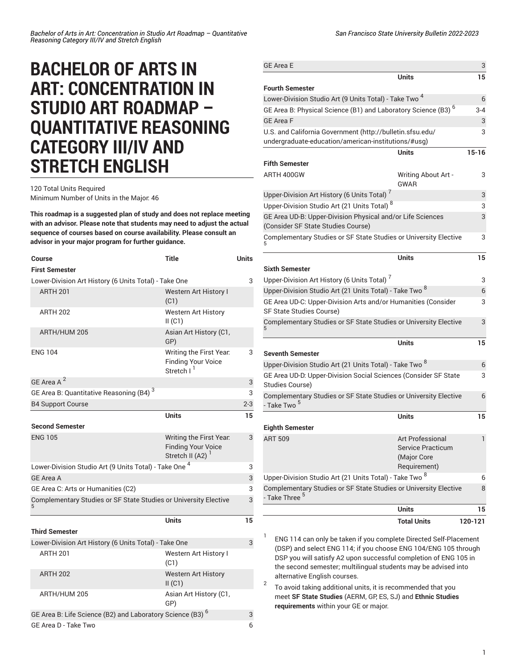## **BACHELOR OF ARTS IN ART: CONCENTRATION IN STUDIO ART ROADMAP – QUANTITATIVE REASONING CATEGORY III/IV AND STRETCH ENGLISH**

## 120 Total Units Required Minimum Number of Units in the Major: 46

**This roadmap is a suggested plan of study and does not replace meeting with an advisor. Please note that students may need to adjust the actual sequence of courses based on course availability. Please consult an**

**advisor in your major program for further guidance.**

| Course                                                                | <b>Title</b>                                                                         | <b>Units</b> |
|-----------------------------------------------------------------------|--------------------------------------------------------------------------------------|--------------|
| <b>First Semester</b>                                                 |                                                                                      |              |
| Lower-Division Art History (6 Units Total) - Take One                 |                                                                                      |              |
| <b>ARTH 201</b>                                                       | <b>Western Art History I</b><br>(C1)                                                 |              |
| <b>ARTH 202</b>                                                       | <b>Western Art History</b><br>II(C1)                                                 |              |
| ARTH/HUM 205                                                          | Asian Art History (C1,<br>GP)                                                        |              |
| <b>ENG 104</b>                                                        | Writing the First Year.<br><b>Finding Your Voice</b><br>Stretch I <sup>1</sup>       | 3            |
| GE Area A <sup>2</sup>                                                |                                                                                      | 3            |
| GE Area B: Quantitative Reasoning (B4) <sup>3</sup>                   |                                                                                      | 3            |
| <b>B4 Support Course</b>                                              |                                                                                      | $2 - 3$      |
|                                                                       | <b>Units</b>                                                                         | 15           |
| <b>Second Semester</b>                                                |                                                                                      |              |
| <b>ENG 105</b>                                                        | Writing the First Year.<br><b>Finding Your Voice</b><br>Stretch II (A2) <sup>1</sup> | 3            |
| Lower-Division Studio Art (9 Units Total) - Take One <sup>4</sup>     |                                                                                      |              |
| <b>GE Area A</b>                                                      |                                                                                      | 3            |
| GE Area C: Arts or Humanities (C2)                                    |                                                                                      | 3            |
| Complementary Studies or SF State Studies or University Elective      |                                                                                      | 3            |
|                                                                       | Units                                                                                | 15           |
| <b>Third Semester</b>                                                 |                                                                                      |              |
| Lower-Division Art History (6 Units Total) - Take One                 |                                                                                      | 3            |
| <b>ARTH 201</b>                                                       | Western Art History I<br>(C1)                                                        |              |
| <b>ARTH 202</b>                                                       | <b>Western Art History</b><br>II(C1)                                                 |              |
| ARTH/HUM 205                                                          | Asian Art History (C1,<br>GP)                                                        |              |
| GE Area B: Life Science (B2) and Laboratory Science (B3) <sup>6</sup> |                                                                                      | 3            |
| GE Area D - Take Two                                                  |                                                                                      | 6            |

| <b>GE Area E</b>                                                                                 |                                    | 3            |
|--------------------------------------------------------------------------------------------------|------------------------------------|--------------|
|                                                                                                  | Units                              | 15           |
| <b>Fourth Semester</b>                                                                           |                                    |              |
| Lower-Division Studio Art (9 Units Total) - Take Two <sup>4</sup>                                |                                    |              |
| GE Area B: Physical Science (B1) and Laboratory Science (B3) <sup>6</sup>                        |                                    | $3 - 4$      |
| <b>GE Area F</b>                                                                                 |                                    | 3            |
| U.S. and California Government (http://bulletin.sfsu.edu/                                        |                                    | 3            |
| undergraduate-education/american-institutions/#usg)                                              |                                    |              |
|                                                                                                  | <b>Units</b>                       | $15 - 16$    |
| <b>Fifth Semester</b>                                                                            |                                    |              |
| ARTH 400GW                                                                                       | Writing About Art -<br><b>GWAR</b> | 3            |
| Upper-Division Art History (6 Units Total) <sup>7</sup>                                          |                                    | 3            |
| Upper-Division Studio Art (21 Units Total) <sup>8</sup>                                          |                                    | 3            |
| GE Area UD-B: Upper-Division Physical and/or Life Sciences<br>(Consider SF State Studies Course) |                                    | 3            |
| Complementary Studies or SF State Studies or University Elective                                 |                                    | 3            |
|                                                                                                  | Units                              | 15           |
| <b>Sixth Semester</b>                                                                            |                                    |              |
| Upper-Division Art History (6 Units Total) <sup>7</sup>                                          |                                    | 3            |
| Upper-Division Studio Art (21 Units Total) - Take Two <sup>8</sup>                               |                                    | 6            |
| GE Area UD-C: Upper-Division Arts and/or Humanities (Consider<br>SF State Studies Course)        |                                    | 3            |
| Complementary Studies or SF State Studies or University Elective                                 |                                    | 3            |
|                                                                                                  | <b>Units</b>                       | 15           |
| Seventh Semester                                                                                 |                                    |              |
| Upper-Division Studio Art (21 Units Total) - Take Two <sup>8</sup>                               |                                    | 6            |
| GE Area UD-D: Upper-Division Social Sciences (Consider SF State<br>Studies Course)               |                                    | 3            |
| Complementary Studies or SF State Studies or University Elective<br>- Take Two <sup>5</sup>      |                                    | 6            |
|                                                                                                  | Units                              | 15           |
| <b>Eighth Semester</b>                                                                           |                                    |              |
| <b>ART 509</b>                                                                                   | Art Professional                   | $\mathbf{1}$ |
|                                                                                                  | Service Practicum                  |              |
|                                                                                                  | (Major Core                        |              |
|                                                                                                  | Requirement)                       |              |
| Upper-Division Studio Art (21 Units Total) - Take Two 8                                          |                                    | 6            |
| Complementary Studies or SF State Studies or University Elective<br>- Take Three <sup>5</sup>    |                                    | 8            |
|                                                                                                  | <b>Units</b>                       | 15           |
|                                                                                                  | <b>Total Units</b>                 | 120-121      |

1 ENG 114 can only be taken if you complete Directed Self-Placement (DSP) and select ENG 114; if you choose ENG 104/ENG 105 through DSP you will satisfy A2 upon successful completion of ENG 105 in the second semester; multilingual students may be advised into alternative English courses.

2 To avoid taking additional units, it is recommended that you meet **SF State Studies** (AERM, GP, ES, SJ) and **Ethnic Studies requirements** within your GE or major.